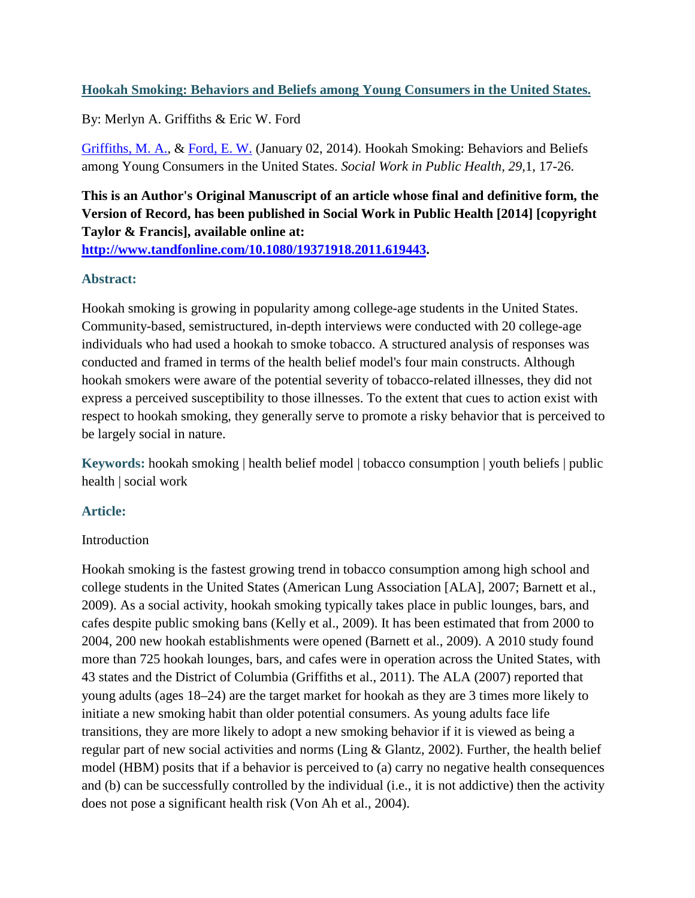### **Hookah Smoking: Behaviors and Beliefs among Young Consumers in the United States.**

By: Merlyn A. Griffiths & Eric W. Ford

[Griffiths, M. A.,](http://libres.uncg.edu/ir/uncg/clist.aspx?id=727) & [Ford, E. W.](http://libres.uncg.edu/ir/clist.aspx?id=3075) (January 02, 2014). Hookah Smoking: Behaviors and Beliefs among Young Consumers in the United States. *Social Work in Public Health, 29,*1, 17-26.

# **This is an Author's Original Manuscript of an article whose final and definitive form, the Version of Record, has been published in Social Work in Public Health [2014] [copyright Taylor & Francis], available online at:**

**[http://www.tandfonline.com/10.1080/19371918.2011.619443.](http://www.tandfonline.com/10.1080/19371918.2011.619443)**

#### **Abstract:**

Hookah smoking is growing in popularity among college-age students in the United States. Community-based, semistructured, in-depth interviews were conducted with 20 college-age individuals who had used a hookah to smoke tobacco. A structured analysis of responses was conducted and framed in terms of the health belief model's four main constructs. Although hookah smokers were aware of the potential severity of tobacco-related illnesses, they did not express a perceived susceptibility to those illnesses. To the extent that cues to action exist with respect to hookah smoking, they generally serve to promote a risky behavior that is perceived to be largely social in nature.

**Keywords:** hookah smoking | health belief model | tobacco consumption | youth beliefs | public health | social work

# **Article:**

#### **Introduction**

Hookah smoking is the fastest growing trend in tobacco consumption among high school and college students in the United States (American Lung Association [ALA], 2007; Barnett et al., 2009). As a social activity, hookah smoking typically takes place in public lounges, bars, and cafes despite public smoking bans (Kelly et al., 2009). It has been estimated that from 2000 to 2004, 200 new hookah establishments were opened (Barnett et al., 2009). A 2010 study found more than 725 hookah lounges, bars, and cafes were in operation across the United States, with 43 states and the District of Columbia (Griffiths et al., 2011). The ALA (2007) reported that young adults (ages 18–24) are the target market for hookah as they are 3 times more likely to initiate a new smoking habit than older potential consumers. As young adults face life transitions, they are more likely to adopt a new smoking behavior if it is viewed as being a regular part of new social activities and norms (Ling & Glantz, 2002). Further, the health belief model (HBM) posits that if a behavior is perceived to (a) carry no negative health consequences and (b) can be successfully controlled by the individual (i.e., it is not addictive) then the activity does not pose a significant health risk (Von Ah et al., 2004).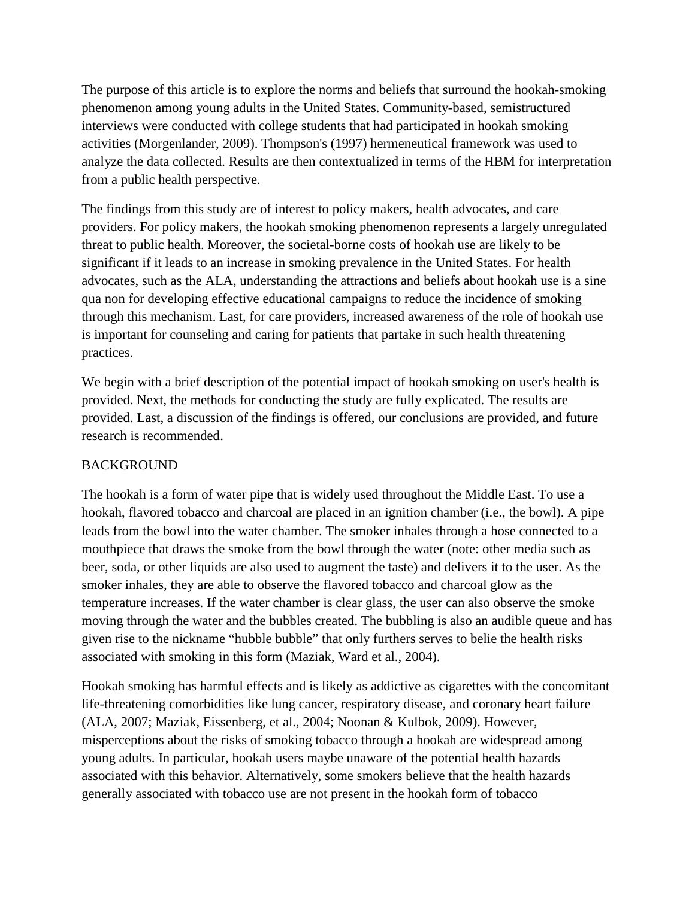The purpose of this article is to explore the norms and beliefs that surround the hookah-smoking phenomenon among young adults in the United States. Community-based, semistructured interviews were conducted with college students that had participated in hookah smoking activities (Morgenlander, 2009). Thompson's (1997) hermeneutical framework was used to analyze the data collected. Results are then contextualized in terms of the HBM for interpretation from a public health perspective.

The findings from this study are of interest to policy makers, health advocates, and care providers. For policy makers, the hookah smoking phenomenon represents a largely unregulated threat to public health. Moreover, the societal-borne costs of hookah use are likely to be significant if it leads to an increase in smoking prevalence in the United States. For health advocates, such as the ALA, understanding the attractions and beliefs about hookah use is a sine qua non for developing effective educational campaigns to reduce the incidence of smoking through this mechanism. Last, for care providers, increased awareness of the role of hookah use is important for counseling and caring for patients that partake in such health threatening practices.

We begin with a brief description of the potential impact of hookah smoking on user's health is provided. Next, the methods for conducting the study are fully explicated. The results are provided. Last, a discussion of the findings is offered, our conclusions are provided, and future research is recommended.

#### BACKGROUND

The hookah is a form of water pipe that is widely used throughout the Middle East. To use a hookah, flavored tobacco and charcoal are placed in an ignition chamber (i.e., the bowl). A pipe leads from the bowl into the water chamber. The smoker inhales through a hose connected to a mouthpiece that draws the smoke from the bowl through the water (note: other media such as beer, soda, or other liquids are also used to augment the taste) and delivers it to the user. As the smoker inhales, they are able to observe the flavored tobacco and charcoal glow as the temperature increases. If the water chamber is clear glass, the user can also observe the smoke moving through the water and the bubbles created. The bubbling is also an audible queue and has given rise to the nickname "hubble bubble" that only furthers serves to belie the health risks associated with smoking in this form (Maziak, Ward et al., 2004).

Hookah smoking has harmful effects and is likely as addictive as cigarettes with the concomitant life-threatening comorbidities like lung cancer, respiratory disease, and coronary heart failure (ALA, 2007; Maziak, Eissenberg, et al., 2004; Noonan & Kulbok, 2009). However, misperceptions about the risks of smoking tobacco through a hookah are widespread among young adults. In particular, hookah users maybe unaware of the potential health hazards associated with this behavior. Alternatively, some smokers believe that the health hazards generally associated with tobacco use are not present in the hookah form of tobacco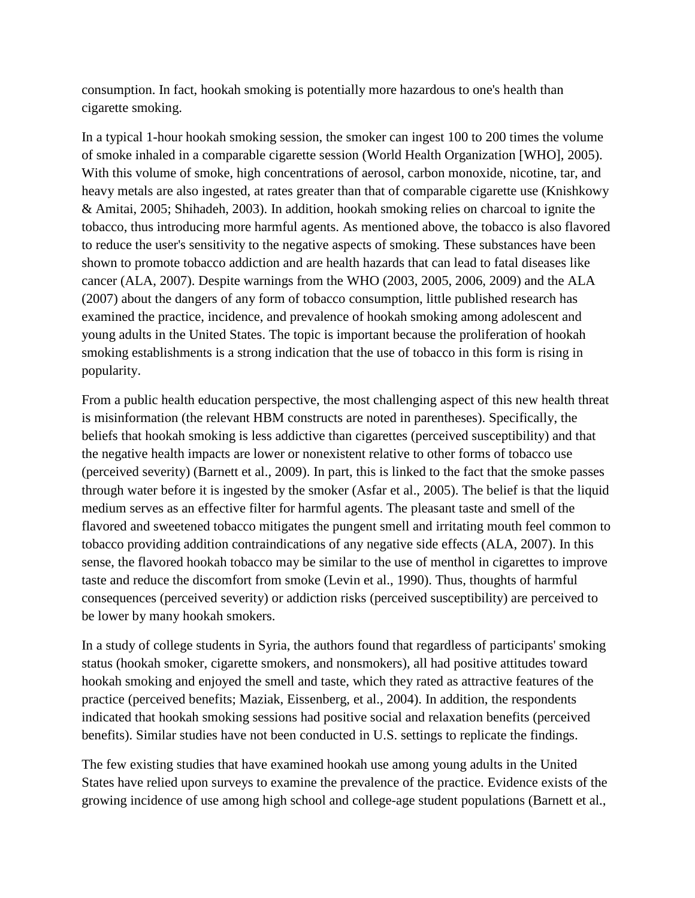consumption. In fact, hookah smoking is potentially more hazardous to one's health than cigarette smoking.

In a typical 1-hour hookah smoking session, the smoker can ingest 100 to 200 times the volume of smoke inhaled in a comparable cigarette session (World Health Organization [WHO], 2005). With this volume of smoke, high concentrations of aerosol, carbon monoxide, nicotine, tar, and heavy metals are also ingested, at rates greater than that of comparable cigarette use (Knishkowy & Amitai, 2005; Shihadeh, 2003). In addition, hookah smoking relies on charcoal to ignite the tobacco, thus introducing more harmful agents. As mentioned above, the tobacco is also flavored to reduce the user's sensitivity to the negative aspects of smoking. These substances have been shown to promote tobacco addiction and are health hazards that can lead to fatal diseases like cancer (ALA, 2007). Despite warnings from the WHO (2003, 2005, 2006, 2009) and the ALA (2007) about the dangers of any form of tobacco consumption, little published research has examined the practice, incidence, and prevalence of hookah smoking among adolescent and young adults in the United States. The topic is important because the proliferation of hookah smoking establishments is a strong indication that the use of tobacco in this form is rising in popularity.

From a public health education perspective, the most challenging aspect of this new health threat is misinformation (the relevant HBM constructs are noted in parentheses). Specifically, the beliefs that hookah smoking is less addictive than cigarettes (perceived susceptibility) and that the negative health impacts are lower or nonexistent relative to other forms of tobacco use (perceived severity) (Barnett et al., 2009). In part, this is linked to the fact that the smoke passes through water before it is ingested by the smoker (Asfar et al., 2005). The belief is that the liquid medium serves as an effective filter for harmful agents. The pleasant taste and smell of the flavored and sweetened tobacco mitigates the pungent smell and irritating mouth feel common to tobacco providing addition contraindications of any negative side effects (ALA, 2007). In this sense, the flavored hookah tobacco may be similar to the use of menthol in cigarettes to improve taste and reduce the discomfort from smoke (Levin et al., 1990). Thus, thoughts of harmful consequences (perceived severity) or addiction risks (perceived susceptibility) are perceived to be lower by many hookah smokers.

In a study of college students in Syria, the authors found that regardless of participants' smoking status (hookah smoker, cigarette smokers, and nonsmokers), all had positive attitudes toward hookah smoking and enjoyed the smell and taste, which they rated as attractive features of the practice (perceived benefits; Maziak, Eissenberg, et al., 2004). In addition, the respondents indicated that hookah smoking sessions had positive social and relaxation benefits (perceived benefits). Similar studies have not been conducted in U.S. settings to replicate the findings.

The few existing studies that have examined hookah use among young adults in the United States have relied upon surveys to examine the prevalence of the practice. Evidence exists of the growing incidence of use among high school and college-age student populations (Barnett et al.,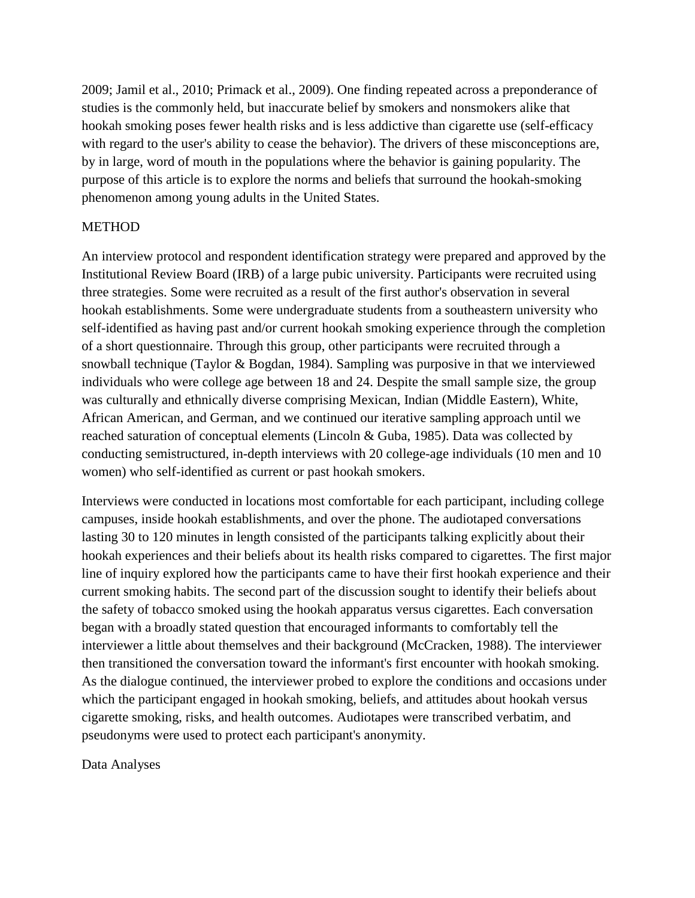2009; Jamil et al., 2010; Primack et al., 2009). One finding repeated across a preponderance of studies is the commonly held, but inaccurate belief by smokers and nonsmokers alike that hookah smoking poses fewer health risks and is less addictive than cigarette use (self-efficacy with regard to the user's ability to cease the behavior). The drivers of these misconceptions are, by in large, word of mouth in the populations where the behavior is gaining popularity. The purpose of this article is to explore the norms and beliefs that surround the hookah-smoking phenomenon among young adults in the United States.

#### **METHOD**

An interview protocol and respondent identification strategy were prepared and approved by the Institutional Review Board (IRB) of a large pubic university. Participants were recruited using three strategies. Some were recruited as a result of the first author's observation in several hookah establishments. Some were undergraduate students from a southeastern university who self-identified as having past and/or current hookah smoking experience through the completion of a short questionnaire. Through this group, other participants were recruited through a snowball technique (Taylor & Bogdan, 1984). Sampling was purposive in that we interviewed individuals who were college age between 18 and 24. Despite the small sample size, the group was culturally and ethnically diverse comprising Mexican, Indian (Middle Eastern), White, African American, and German, and we continued our iterative sampling approach until we reached saturation of conceptual elements (Lincoln & Guba, 1985). Data was collected by conducting semistructured, in-depth interviews with 20 college-age individuals (10 men and 10 women) who self-identified as current or past hookah smokers.

Interviews were conducted in locations most comfortable for each participant, including college campuses, inside hookah establishments, and over the phone. The audiotaped conversations lasting 30 to 120 minutes in length consisted of the participants talking explicitly about their hookah experiences and their beliefs about its health risks compared to cigarettes. The first major line of inquiry explored how the participants came to have their first hookah experience and their current smoking habits. The second part of the discussion sought to identify their beliefs about the safety of tobacco smoked using the hookah apparatus versus cigarettes. Each conversation began with a broadly stated question that encouraged informants to comfortably tell the interviewer a little about themselves and their background (McCracken, 1988). The interviewer then transitioned the conversation toward the informant's first encounter with hookah smoking. As the dialogue continued, the interviewer probed to explore the conditions and occasions under which the participant engaged in hookah smoking, beliefs, and attitudes about hookah versus cigarette smoking, risks, and health outcomes. Audiotapes were transcribed verbatim, and pseudonyms were used to protect each participant's anonymity.

Data Analyses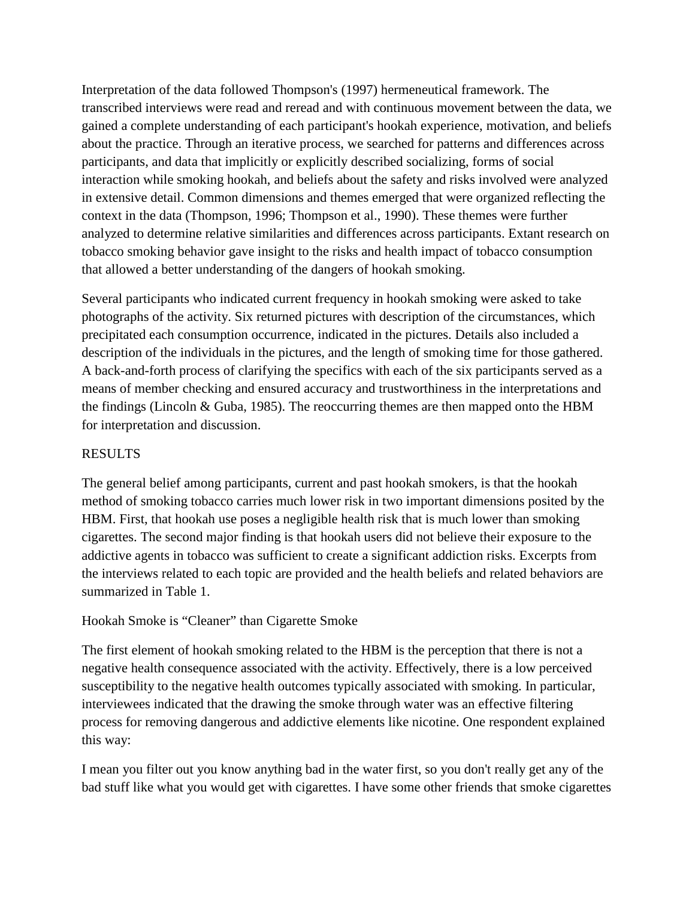Interpretation of the data followed Thompson's (1997) hermeneutical framework. The transcribed interviews were read and reread and with continuous movement between the data, we gained a complete understanding of each participant's hookah experience, motivation, and beliefs about the practice. Through an iterative process, we searched for patterns and differences across participants, and data that implicitly or explicitly described socializing, forms of social interaction while smoking hookah, and beliefs about the safety and risks involved were analyzed in extensive detail. Common dimensions and themes emerged that were organized reflecting the context in the data (Thompson, 1996; Thompson et al., 1990). These themes were further analyzed to determine relative similarities and differences across participants. Extant research on tobacco smoking behavior gave insight to the risks and health impact of tobacco consumption that allowed a better understanding of the dangers of hookah smoking.

Several participants who indicated current frequency in hookah smoking were asked to take photographs of the activity. Six returned pictures with description of the circumstances, which precipitated each consumption occurrence, indicated in the pictures. Details also included a description of the individuals in the pictures, and the length of smoking time for those gathered. A back-and-forth process of clarifying the specifics with each of the six participants served as a means of member checking and ensured accuracy and trustworthiness in the interpretations and the findings (Lincoln & Guba, 1985). The reoccurring themes are then mapped onto the HBM for interpretation and discussion.

#### RESULTS

The general belief among participants, current and past hookah smokers, is that the hookah method of smoking tobacco carries much lower risk in two important dimensions posited by the HBM. First, that hookah use poses a negligible health risk that is much lower than smoking cigarettes. The second major finding is that hookah users did not believe their exposure to the addictive agents in tobacco was sufficient to create a significant addiction risks. Excerpts from the interviews related to each topic are provided and the health beliefs and related behaviors are summarized in Table 1.

#### Hookah Smoke is "Cleaner" than Cigarette Smoke

The first element of hookah smoking related to the HBM is the perception that there is not a negative health consequence associated with the activity. Effectively, there is a low perceived susceptibility to the negative health outcomes typically associated with smoking. In particular, interviewees indicated that the drawing the smoke through water was an effective filtering process for removing dangerous and addictive elements like nicotine. One respondent explained this way:

I mean you filter out you know anything bad in the water first, so you don't really get any of the bad stuff like what you would get with cigarettes. I have some other friends that smoke cigarettes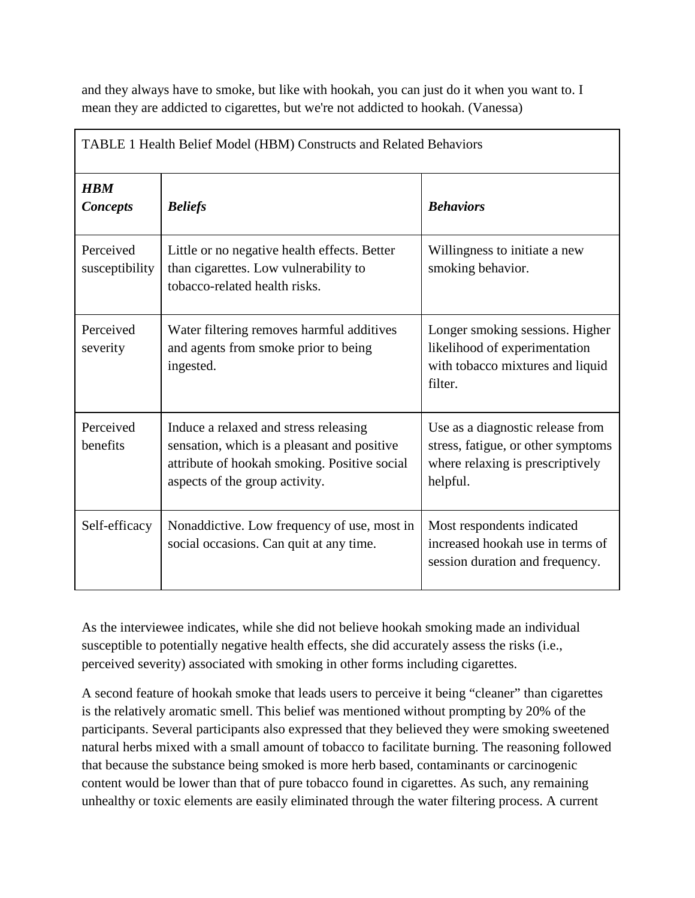and they always have to smoke, but like with hookah, you can just do it when you want to. I mean they are addicted to cigarettes, but we're not addicted to hookah. (Vanessa)

| TABLE 1 Health Belief Model (HBM) Constructs and Related Behaviors |                                                                                                                                                                        |                                                                                                                        |
|--------------------------------------------------------------------|------------------------------------------------------------------------------------------------------------------------------------------------------------------------|------------------------------------------------------------------------------------------------------------------------|
| <b>HBM</b><br><b>Concepts</b>                                      | <b>Beliefs</b>                                                                                                                                                         | <b>Behaviors</b>                                                                                                       |
| Perceived<br>susceptibility                                        | Little or no negative health effects. Better<br>than cigarettes. Low vulnerability to<br>tobacco-related health risks.                                                 | Willingness to initiate a new<br>smoking behavior.                                                                     |
| Perceived<br>severity                                              | Water filtering removes harmful additives<br>and agents from smoke prior to being<br>ingested.                                                                         | Longer smoking sessions. Higher<br>likelihood of experimentation<br>with tobacco mixtures and liquid<br>filter.        |
| Perceived<br>benefits                                              | Induce a relaxed and stress releasing<br>sensation, which is a pleasant and positive<br>attribute of hookah smoking. Positive social<br>aspects of the group activity. | Use as a diagnostic release from<br>stress, fatigue, or other symptoms<br>where relaxing is prescriptively<br>helpful. |
| Self-efficacy                                                      | Nonaddictive. Low frequency of use, most in<br>social occasions. Can quit at any time.                                                                                 | Most respondents indicated<br>increased hookah use in terms of<br>session duration and frequency.                      |

As the interviewee indicates, while she did not believe hookah smoking made an individual susceptible to potentially negative health effects, she did accurately assess the risks (i.e., perceived severity) associated with smoking in other forms including cigarettes.

A second feature of hookah smoke that leads users to perceive it being "cleaner" than cigarettes is the relatively aromatic smell. This belief was mentioned without prompting by 20% of the participants. Several participants also expressed that they believed they were smoking sweetened natural herbs mixed with a small amount of tobacco to facilitate burning. The reasoning followed that because the substance being smoked is more herb based, contaminants or carcinogenic content would be lower than that of pure tobacco found in cigarettes. As such, any remaining unhealthy or toxic elements are easily eliminated through the water filtering process. A current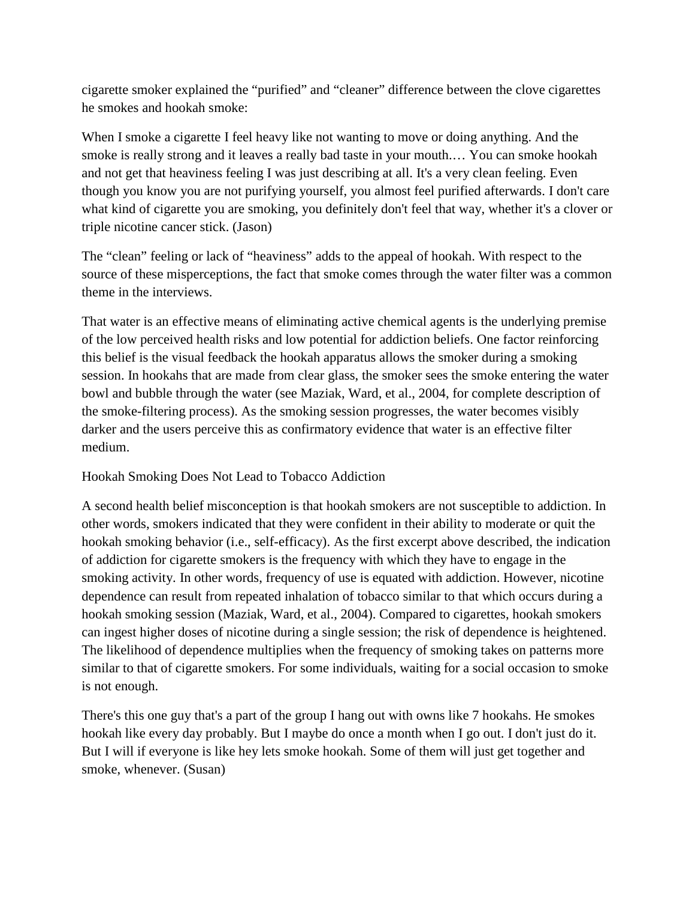cigarette smoker explained the "purified" and "cleaner" difference between the clove cigarettes he smokes and hookah smoke:

When I smoke a cigarette I feel heavy like not wanting to move or doing anything. And the smoke is really strong and it leaves a really bad taste in your mouth.… You can smoke hookah and not get that heaviness feeling I was just describing at all. It's a very clean feeling. Even though you know you are not purifying yourself, you almost feel purified afterwards. I don't care what kind of cigarette you are smoking, you definitely don't feel that way, whether it's a clover or triple nicotine cancer stick. (Jason)

The "clean" feeling or lack of "heaviness" adds to the appeal of hookah. With respect to the source of these misperceptions, the fact that smoke comes through the water filter was a common theme in the interviews.

That water is an effective means of eliminating active chemical agents is the underlying premise of the low perceived health risks and low potential for addiction beliefs. One factor reinforcing this belief is the visual feedback the hookah apparatus allows the smoker during a smoking session. In hookahs that are made from clear glass, the smoker sees the smoke entering the water bowl and bubble through the water (see Maziak, Ward, et al., 2004, for complete description of the smoke-filtering process). As the smoking session progresses, the water becomes visibly darker and the users perceive this as confirmatory evidence that water is an effective filter medium.

#### Hookah Smoking Does Not Lead to Tobacco Addiction

A second health belief misconception is that hookah smokers are not susceptible to addiction. In other words, smokers indicated that they were confident in their ability to moderate or quit the hookah smoking behavior (i.e., self-efficacy). As the first excerpt above described, the indication of addiction for cigarette smokers is the frequency with which they have to engage in the smoking activity. In other words, frequency of use is equated with addiction. However, nicotine dependence can result from repeated inhalation of tobacco similar to that which occurs during a hookah smoking session (Maziak, Ward, et al., 2004). Compared to cigarettes, hookah smokers can ingest higher doses of nicotine during a single session; the risk of dependence is heightened. The likelihood of dependence multiplies when the frequency of smoking takes on patterns more similar to that of cigarette smokers. For some individuals, waiting for a social occasion to smoke is not enough.

There's this one guy that's a part of the group I hang out with owns like 7 hookahs. He smokes hookah like every day probably. But I maybe do once a month when I go out. I don't just do it. But I will if everyone is like hey lets smoke hookah. Some of them will just get together and smoke, whenever. (Susan)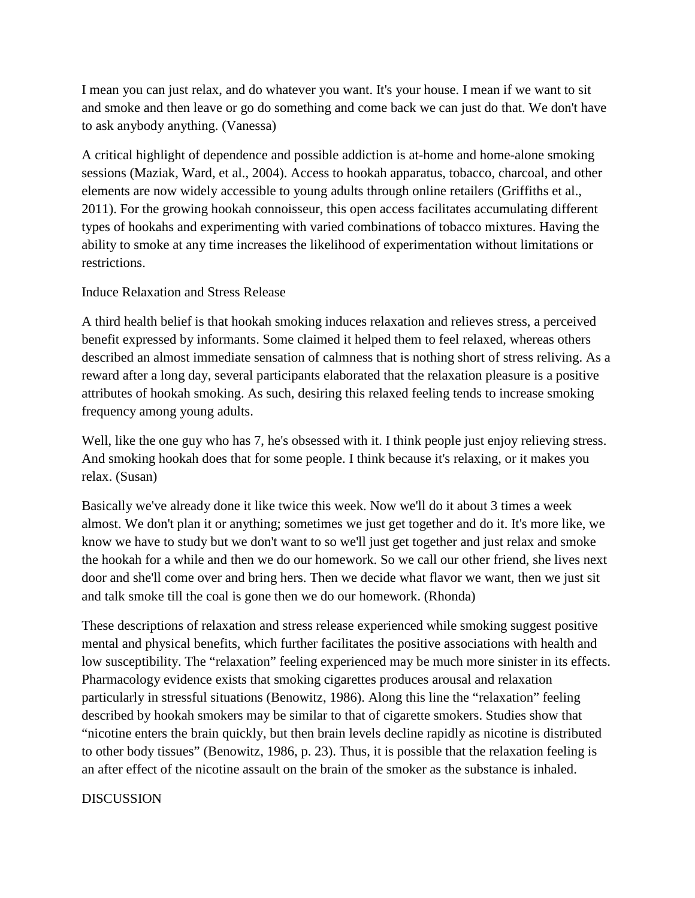I mean you can just relax, and do whatever you want. It's your house. I mean if we want to sit and smoke and then leave or go do something and come back we can just do that. We don't have to ask anybody anything. (Vanessa)

A critical highlight of dependence and possible addiction is at-home and home-alone smoking sessions (Maziak, Ward, et al., 2004). Access to hookah apparatus, tobacco, charcoal, and other elements are now widely accessible to young adults through online retailers (Griffiths et al., 2011). For the growing hookah connoisseur, this open access facilitates accumulating different types of hookahs and experimenting with varied combinations of tobacco mixtures. Having the ability to smoke at any time increases the likelihood of experimentation without limitations or restrictions.

#### Induce Relaxation and Stress Release

A third health belief is that hookah smoking induces relaxation and relieves stress, a perceived benefit expressed by informants. Some claimed it helped them to feel relaxed, whereas others described an almost immediate sensation of calmness that is nothing short of stress reliving. As a reward after a long day, several participants elaborated that the relaxation pleasure is a positive attributes of hookah smoking. As such, desiring this relaxed feeling tends to increase smoking frequency among young adults.

Well, like the one guy who has 7, he's obsessed with it. I think people just enjoy relieving stress. And smoking hookah does that for some people. I think because it's relaxing, or it makes you relax. (Susan)

Basically we've already done it like twice this week. Now we'll do it about 3 times a week almost. We don't plan it or anything; sometimes we just get together and do it. It's more like, we know we have to study but we don't want to so we'll just get together and just relax and smoke the hookah for a while and then we do our homework. So we call our other friend, she lives next door and she'll come over and bring hers. Then we decide what flavor we want, then we just sit and talk smoke till the coal is gone then we do our homework. (Rhonda)

These descriptions of relaxation and stress release experienced while smoking suggest positive mental and physical benefits, which further facilitates the positive associations with health and low susceptibility. The "relaxation" feeling experienced may be much more sinister in its effects. Pharmacology evidence exists that smoking cigarettes produces arousal and relaxation particularly in stressful situations (Benowitz, 1986). Along this line the "relaxation" feeling described by hookah smokers may be similar to that of cigarette smokers. Studies show that "nicotine enters the brain quickly, but then brain levels decline rapidly as nicotine is distributed to other body tissues" (Benowitz, 1986, p. 23). Thus, it is possible that the relaxation feeling is an after effect of the nicotine assault on the brain of the smoker as the substance is inhaled.

#### DISCUSSION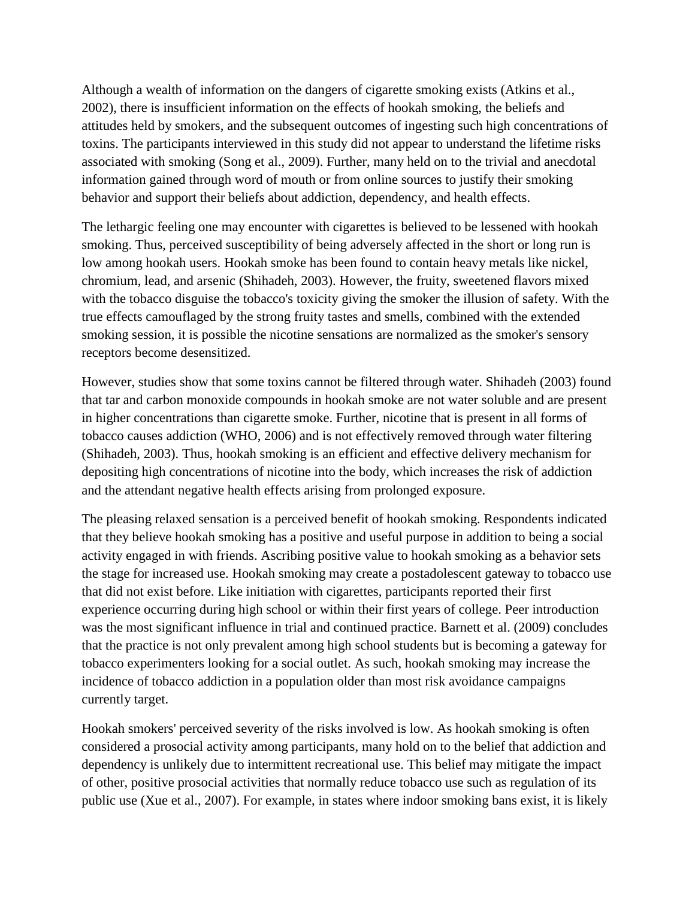Although a wealth of information on the dangers of cigarette smoking exists (Atkins et al., 2002), there is insufficient information on the effects of hookah smoking, the beliefs and attitudes held by smokers, and the subsequent outcomes of ingesting such high concentrations of toxins. The participants interviewed in this study did not appear to understand the lifetime risks associated with smoking (Song et al., 2009). Further, many held on to the trivial and anecdotal information gained through word of mouth or from online sources to justify their smoking behavior and support their beliefs about addiction, dependency, and health effects.

The lethargic feeling one may encounter with cigarettes is believed to be lessened with hookah smoking. Thus, perceived susceptibility of being adversely affected in the short or long run is low among hookah users. Hookah smoke has been found to contain heavy metals like nickel, chromium, lead, and arsenic (Shihadeh, 2003). However, the fruity, sweetened flavors mixed with the tobacco disguise the tobacco's toxicity giving the smoker the illusion of safety. With the true effects camouflaged by the strong fruity tastes and smells, combined with the extended smoking session, it is possible the nicotine sensations are normalized as the smoker's sensory receptors become desensitized.

However, studies show that some toxins cannot be filtered through water. Shihadeh (2003) found that tar and carbon monoxide compounds in hookah smoke are not water soluble and are present in higher concentrations than cigarette smoke. Further, nicotine that is present in all forms of tobacco causes addiction (WHO, 2006) and is not effectively removed through water filtering (Shihadeh, 2003). Thus, hookah smoking is an efficient and effective delivery mechanism for depositing high concentrations of nicotine into the body, which increases the risk of addiction and the attendant negative health effects arising from prolonged exposure.

The pleasing relaxed sensation is a perceived benefit of hookah smoking. Respondents indicated that they believe hookah smoking has a positive and useful purpose in addition to being a social activity engaged in with friends. Ascribing positive value to hookah smoking as a behavior sets the stage for increased use. Hookah smoking may create a postadolescent gateway to tobacco use that did not exist before. Like initiation with cigarettes, participants reported their first experience occurring during high school or within their first years of college. Peer introduction was the most significant influence in trial and continued practice. Barnett et al. (2009) concludes that the practice is not only prevalent among high school students but is becoming a gateway for tobacco experimenters looking for a social outlet. As such, hookah smoking may increase the incidence of tobacco addiction in a population older than most risk avoidance campaigns currently target.

Hookah smokers' perceived severity of the risks involved is low. As hookah smoking is often considered a prosocial activity among participants, many hold on to the belief that addiction and dependency is unlikely due to intermittent recreational use. This belief may mitigate the impact of other, positive prosocial activities that normally reduce tobacco use such as regulation of its public use (Xue et al., 2007). For example, in states where indoor smoking bans exist, it is likely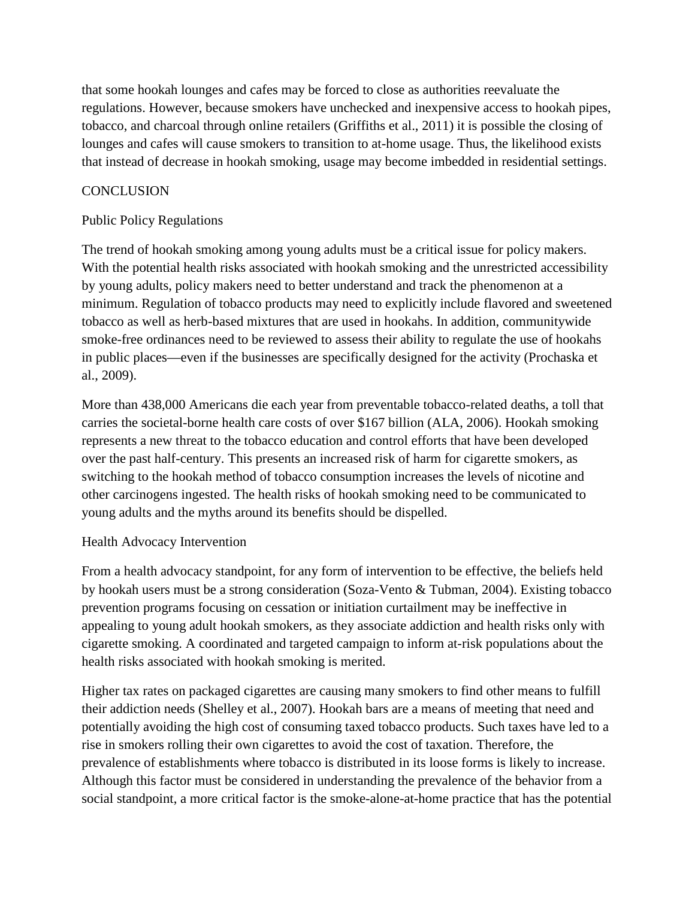that some hookah lounges and cafes may be forced to close as authorities reevaluate the regulations. However, because smokers have unchecked and inexpensive access to hookah pipes, tobacco, and charcoal through online retailers (Griffiths et al., 2011) it is possible the closing of lounges and cafes will cause smokers to transition to at-home usage. Thus, the likelihood exists that instead of decrease in hookah smoking, usage may become imbedded in residential settings.

#### **CONCLUSION**

#### Public Policy Regulations

The trend of hookah smoking among young adults must be a critical issue for policy makers. With the potential health risks associated with hookah smoking and the unrestricted accessibility by young adults, policy makers need to better understand and track the phenomenon at a minimum. Regulation of tobacco products may need to explicitly include flavored and sweetened tobacco as well as herb-based mixtures that are used in hookahs. In addition, communitywide smoke-free ordinances need to be reviewed to assess their ability to regulate the use of hookahs in public places—even if the businesses are specifically designed for the activity (Prochaska et al., 2009).

More than 438,000 Americans die each year from preventable tobacco-related deaths, a toll that carries the societal-borne health care costs of over \$167 billion (ALA, 2006). Hookah smoking represents a new threat to the tobacco education and control efforts that have been developed over the past half-century. This presents an increased risk of harm for cigarette smokers, as switching to the hookah method of tobacco consumption increases the levels of nicotine and other carcinogens ingested. The health risks of hookah smoking need to be communicated to young adults and the myths around its benefits should be dispelled.

#### Health Advocacy Intervention

From a health advocacy standpoint, for any form of intervention to be effective, the beliefs held by hookah users must be a strong consideration (Soza-Vento & Tubman, 2004). Existing tobacco prevention programs focusing on cessation or initiation curtailment may be ineffective in appealing to young adult hookah smokers, as they associate addiction and health risks only with cigarette smoking. A coordinated and targeted campaign to inform at-risk populations about the health risks associated with hookah smoking is merited.

Higher tax rates on packaged cigarettes are causing many smokers to find other means to fulfill their addiction needs (Shelley et al., 2007). Hookah bars are a means of meeting that need and potentially avoiding the high cost of consuming taxed tobacco products. Such taxes have led to a rise in smokers rolling their own cigarettes to avoid the cost of taxation. Therefore, the prevalence of establishments where tobacco is distributed in its loose forms is likely to increase. Although this factor must be considered in understanding the prevalence of the behavior from a social standpoint, a more critical factor is the smoke-alone-at-home practice that has the potential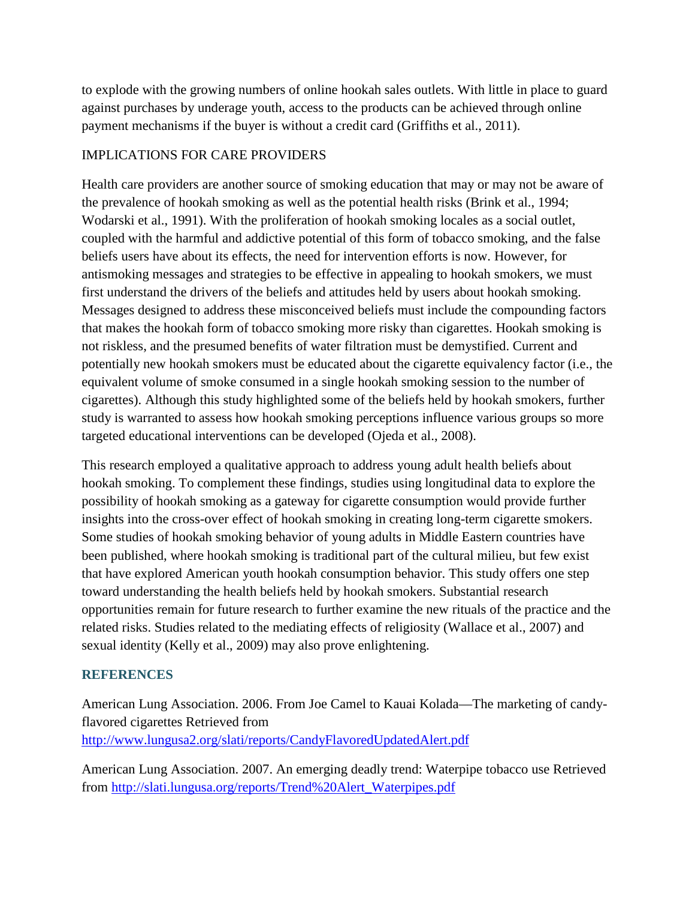to explode with the growing numbers of online hookah sales outlets. With little in place to guard against purchases by underage youth, access to the products can be achieved through online payment mechanisms if the buyer is without a credit card (Griffiths et al., 2011).

## IMPLICATIONS FOR CARE PROVIDERS

Health care providers are another source of smoking education that may or may not be aware of the prevalence of hookah smoking as well as the potential health risks (Brink et al., 1994; Wodarski et al., 1991). With the proliferation of hookah smoking locales as a social outlet, coupled with the harmful and addictive potential of this form of tobacco smoking, and the false beliefs users have about its effects, the need for intervention efforts is now. However, for antismoking messages and strategies to be effective in appealing to hookah smokers, we must first understand the drivers of the beliefs and attitudes held by users about hookah smoking. Messages designed to address these misconceived beliefs must include the compounding factors that makes the hookah form of tobacco smoking more risky than cigarettes. Hookah smoking is not riskless, and the presumed benefits of water filtration must be demystified. Current and potentially new hookah smokers must be educated about the cigarette equivalency factor (i.e., the equivalent volume of smoke consumed in a single hookah smoking session to the number of cigarettes). Although this study highlighted some of the beliefs held by hookah smokers, further study is warranted to assess how hookah smoking perceptions influence various groups so more targeted educational interventions can be developed (Ojeda et al., 2008).

This research employed a qualitative approach to address young adult health beliefs about hookah smoking. To complement these findings, studies using longitudinal data to explore the possibility of hookah smoking as a gateway for cigarette consumption would provide further insights into the cross-over effect of hookah smoking in creating long-term cigarette smokers. Some studies of hookah smoking behavior of young adults in Middle Eastern countries have been published, where hookah smoking is traditional part of the cultural milieu, but few exist that have explored American youth hookah consumption behavior. This study offers one step toward understanding the health beliefs held by hookah smokers. Substantial research opportunities remain for future research to further examine the new rituals of the practice and the related risks. Studies related to the mediating effects of religiosity (Wallace et al., 2007) and sexual identity (Kelly et al., 2009) may also prove enlightening.

# **REFERENCES**

American Lung Association. 2006. From Joe Camel to Kauai Kolada—The marketing of candyflavored cigarettes Retrieved from

<http://www.lungusa2.org/slati/reports/CandyFlavoredUpdatedAlert.pdf>

American Lung Association. 2007. An emerging deadly trend: Waterpipe tobacco use Retrieved from [http://slati.lungusa.org/reports/Trend%20Alert\\_Waterpipes.pdf](http://slati.lungusa.org/reports/Trend%20Alert_Waterpipes.pdf)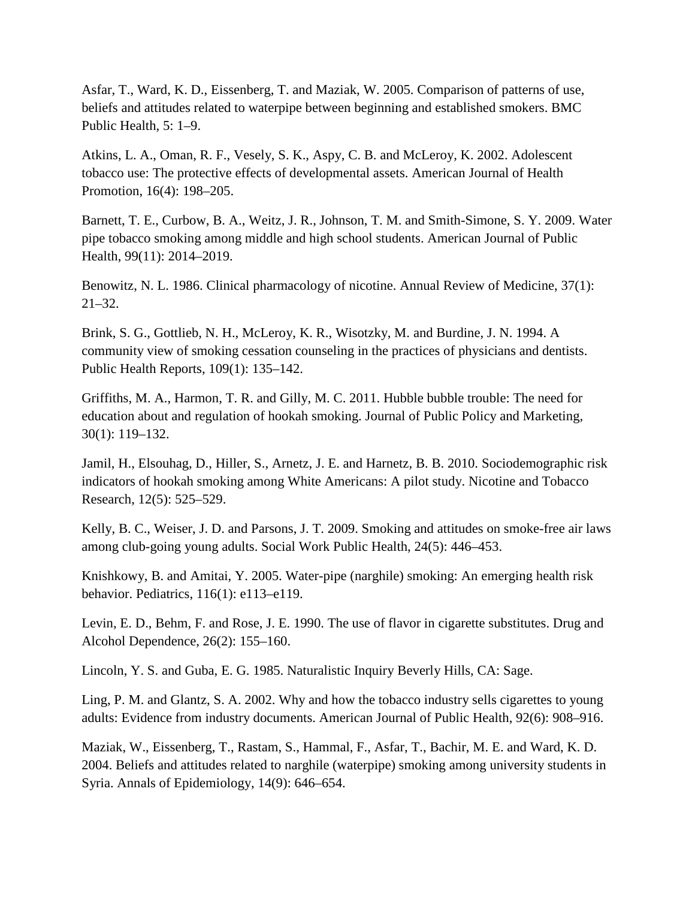Asfar, T., Ward, K. D., Eissenberg, T. and Maziak, W. 2005. Comparison of patterns of use, beliefs and attitudes related to waterpipe between beginning and established smokers. BMC Public Health, 5: 1–9.

Atkins, L. A., Oman, R. F., Vesely, S. K., Aspy, C. B. and McLeroy, K. 2002. Adolescent tobacco use: The protective effects of developmental assets. American Journal of Health Promotion, 16(4): 198–205.

Barnett, T. E., Curbow, B. A., Weitz, J. R., Johnson, T. M. and Smith-Simone, S. Y. 2009. Water pipe tobacco smoking among middle and high school students. American Journal of Public Health, 99(11): 2014–2019.

Benowitz, N. L. 1986. Clinical pharmacology of nicotine. Annual Review of Medicine, 37(1): 21–32.

Brink, S. G., Gottlieb, N. H., McLeroy, K. R., Wisotzky, M. and Burdine, J. N. 1994. A community view of smoking cessation counseling in the practices of physicians and dentists. Public Health Reports, 109(1): 135–142.

Griffiths, M. A., Harmon, T. R. and Gilly, M. C. 2011. Hubble bubble trouble: The need for education about and regulation of hookah smoking. Journal of Public Policy and Marketing, 30(1): 119–132.

Jamil, H., Elsouhag, D., Hiller, S., Arnetz, J. E. and Harnetz, B. B. 2010. Sociodemographic risk indicators of hookah smoking among White Americans: A pilot study. Nicotine and Tobacco Research, 12(5): 525–529.

Kelly, B. C., Weiser, J. D. and Parsons, J. T. 2009. Smoking and attitudes on smoke-free air laws among club-going young adults. Social Work Public Health, 24(5): 446–453.

Knishkowy, B. and Amitai, Y. 2005. Water-pipe (narghile) smoking: An emerging health risk behavior. Pediatrics, 116(1): e113–e119.

Levin, E. D., Behm, F. and Rose, J. E. 1990. The use of flavor in cigarette substitutes. Drug and Alcohol Dependence, 26(2): 155–160.

Lincoln, Y. S. and Guba, E. G. 1985. Naturalistic Inquiry Beverly Hills, CA: Sage.

Ling, P. M. and Glantz, S. A. 2002. Why and how the tobacco industry sells cigarettes to young adults: Evidence from industry documents. American Journal of Public Health, 92(6): 908–916.

Maziak, W., Eissenberg, T., Rastam, S., Hammal, F., Asfar, T., Bachir, M. E. and Ward, K. D. 2004. Beliefs and attitudes related to narghile (waterpipe) smoking among university students in Syria. Annals of Epidemiology, 14(9): 646–654.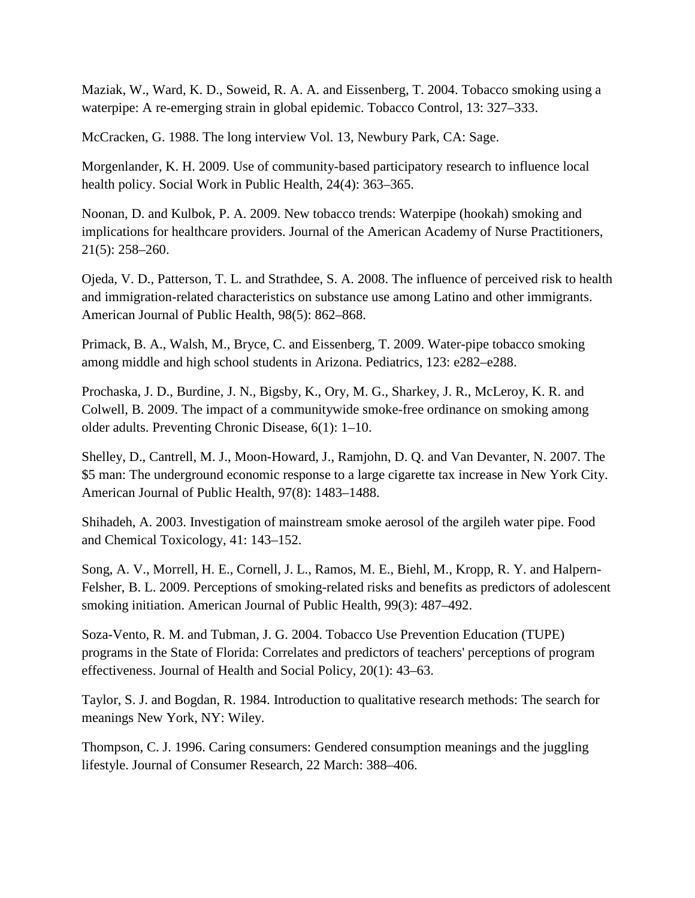Maziak, W., Ward, K. D., Soweid, R. A. A. and Eissenberg, T. 2004. Tobacco smoking using a waterpipe: A re-emerging strain in global epidemic. Tobacco Control, 13: 327–333.

McCracken, G. 1988. The long interview Vol. 13, Newbury Park, CA: Sage.

Morgenlander, K. H. 2009. Use of community-based participatory research to influence local health policy. Social Work in Public Health, 24(4): 363–365.

Noonan, D. and Kulbok, P. A. 2009. New tobacco trends: Waterpipe (hookah) smoking and implications for healthcare providers. Journal of the American Academy of Nurse Practitioners, 21(5): 258–260.

Ojeda, V. D., Patterson, T. L. and Strathdee, S. A. 2008. The influence of perceived risk to health and immigration-related characteristics on substance use among Latino and other immigrants. American Journal of Public Health, 98(5): 862–868.

Primack, B. A., Walsh, M., Bryce, C. and Eissenberg, T. 2009. Water-pipe tobacco smoking among middle and high school students in Arizona. Pediatrics, 123: e282–e288.

Prochaska, J. D., Burdine, J. N., Bigsby, K., Ory, M. G., Sharkey, J. R., McLeroy, K. R. and Colwell, B. 2009. The impact of a communitywide smoke-free ordinance on smoking among older adults. Preventing Chronic Disease, 6(1): 1–10.

Shelley, D., Cantrell, M. J., Moon-Howard, J., Ramjohn, D. Q. and Van Devanter, N. 2007. The \$5 man: The underground economic response to a large cigarette tax increase in New York City. American Journal of Public Health, 97(8): 1483–1488.

Shihadeh, A. 2003. Investigation of mainstream smoke aerosol of the argileh water pipe. Food and Chemical Toxicology, 41: 143–152.

Song, A. V., Morrell, H. E., Cornell, J. L., Ramos, M. E., Biehl, M., Kropp, R. Y. and Halpern-Felsher, B. L. 2009. Perceptions of smoking-related risks and benefits as predictors of adolescent smoking initiation. American Journal of Public Health, 99(3): 487–492.

Soza-Vento, R. M. and Tubman, J. G. 2004. Tobacco Use Prevention Education (TUPE) programs in the State of Florida: Correlates and predictors of teachers' perceptions of program effectiveness. Journal of Health and Social Policy, 20(1): 43–63.

Taylor, S. J. and Bogdan, R. 1984. Introduction to qualitative research methods: The search for meanings New York, NY: Wiley.

Thompson, C. J. 1996. Caring consumers: Gendered consumption meanings and the juggling lifestyle. Journal of Consumer Research, 22 March: 388–406.